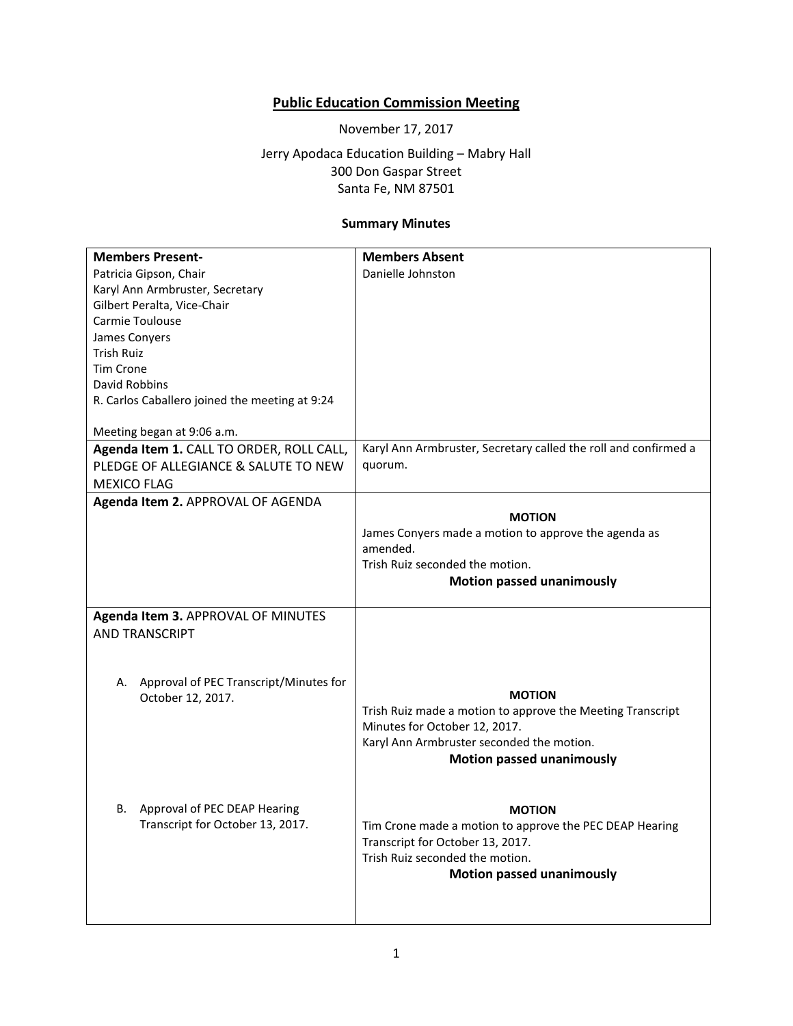## **Public Education Commission Meeting**

November 17, 2017

Jerry Apodaca Education Building – Mabry Hall 300 Don Gaspar Street Santa Fe, NM 87501

## **Summary Minutes**

| <b>Members Present-</b>                        | <b>Members Absent</b>                                               |
|------------------------------------------------|---------------------------------------------------------------------|
| Patricia Gipson, Chair                         | Danielle Johnston                                                   |
| Karyl Ann Armbruster, Secretary                |                                                                     |
| Gilbert Peralta, Vice-Chair                    |                                                                     |
| Carmie Toulouse                                |                                                                     |
| James Conyers                                  |                                                                     |
| <b>Trish Ruiz</b>                              |                                                                     |
| <b>Tim Crone</b>                               |                                                                     |
| David Robbins                                  |                                                                     |
| R. Carlos Caballero joined the meeting at 9:24 |                                                                     |
|                                                |                                                                     |
| Meeting began at 9:06 a.m.                     |                                                                     |
| Agenda Item 1. CALL TO ORDER, ROLL CALL,       | Karyl Ann Armbruster, Secretary called the roll and confirmed a     |
| PLEDGE OF ALLEGIANCE & SALUTE TO NEW           | quorum.                                                             |
| <b>MEXICO FLAG</b>                             |                                                                     |
| Agenda Item 2. APPROVAL OF AGENDA              |                                                                     |
|                                                | <b>MOTION</b>                                                       |
|                                                | James Conyers made a motion to approve the agenda as                |
|                                                | amended.                                                            |
|                                                | Trish Ruiz seconded the motion.                                     |
|                                                | <b>Motion passed unanimously</b>                                    |
|                                                |                                                                     |
| Agenda Item 3. APPROVAL OF MINUTES             |                                                                     |
| <b>AND TRANSCRIPT</b>                          |                                                                     |
|                                                |                                                                     |
|                                                |                                                                     |
| A. Approval of PEC Transcript/Minutes for      |                                                                     |
| October 12, 2017.                              | <b>MOTION</b>                                                       |
|                                                | Trish Ruiz made a motion to approve the Meeting Transcript          |
|                                                | Minutes for October 12, 2017.                                       |
|                                                | Karyl Ann Armbruster seconded the motion.                           |
|                                                | <b>Motion passed unanimously</b>                                    |
|                                                |                                                                     |
| Approval of PEC DEAP Hearing<br>В.             |                                                                     |
| Transcript for October 13, 2017.               | <b>MOTION</b>                                                       |
|                                                | Tim Crone made a motion to approve the PEC DEAP Hearing             |
|                                                | Transcript for October 13, 2017.<br>Trish Ruiz seconded the motion. |
|                                                |                                                                     |
|                                                | <b>Motion passed unanimously</b>                                    |
|                                                |                                                                     |
|                                                |                                                                     |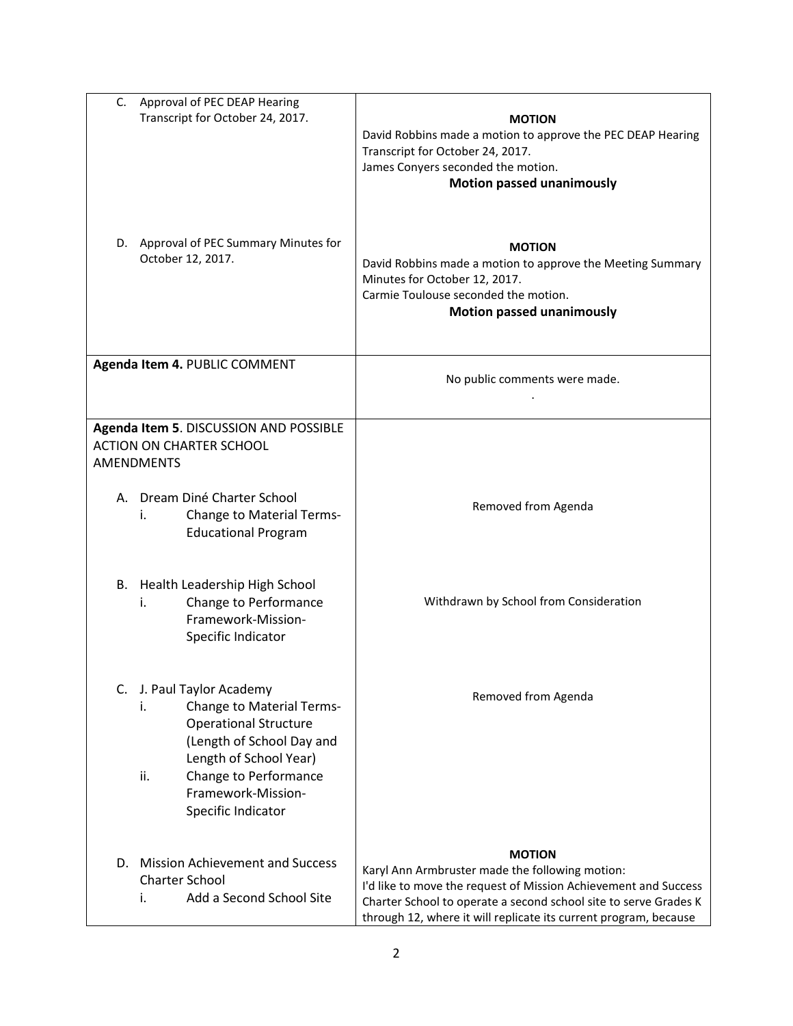| C.<br>Approval of PEC DEAP Hearing<br>Transcript for October 24, 2017.                                                                                                                                                                 | <b>MOTION</b><br>David Robbins made a motion to approve the PEC DEAP Hearing<br>Transcript for October 24, 2017.<br>James Conyers seconded the motion.<br><b>Motion passed unanimously</b>                                                                                  |
|----------------------------------------------------------------------------------------------------------------------------------------------------------------------------------------------------------------------------------------|-----------------------------------------------------------------------------------------------------------------------------------------------------------------------------------------------------------------------------------------------------------------------------|
| D. Approval of PEC Summary Minutes for<br>October 12, 2017.                                                                                                                                                                            | <b>MOTION</b><br>David Robbins made a motion to approve the Meeting Summary<br>Minutes for October 12, 2017.<br>Carmie Toulouse seconded the motion.<br><b>Motion passed unanimously</b>                                                                                    |
| Agenda Item 4. PUBLIC COMMENT                                                                                                                                                                                                          | No public comments were made.                                                                                                                                                                                                                                               |
| Agenda Item 5. DISCUSSION AND POSSIBLE<br><b>ACTION ON CHARTER SCHOOL</b><br><b>AMENDMENTS</b>                                                                                                                                         |                                                                                                                                                                                                                                                                             |
| A. Dream Diné Charter School<br><b>Change to Material Terms-</b><br>İ.<br><b>Educational Program</b>                                                                                                                                   | Removed from Agenda                                                                                                                                                                                                                                                         |
| B. Health Leadership High School<br>Change to Performance<br>i.<br>Framework-Mission-<br>Specific Indicator                                                                                                                            | Withdrawn by School from Consideration                                                                                                                                                                                                                                      |
| C. J. Paul Taylor Academy<br><b>Change to Material Terms-</b><br>İ.<br><b>Operational Structure</b><br>(Length of School Day and<br>Length of School Year)<br>ii.<br>Change to Performance<br>Framework-Mission-<br>Specific Indicator | Removed from Agenda                                                                                                                                                                                                                                                         |
| D. Mission Achievement and Success<br><b>Charter School</b><br>Add a Second School Site<br>i.                                                                                                                                          | <b>MOTION</b><br>Karyl Ann Armbruster made the following motion:<br>I'd like to move the request of Mission Achievement and Success<br>Charter School to operate a second school site to serve Grades K<br>through 12, where it will replicate its current program, because |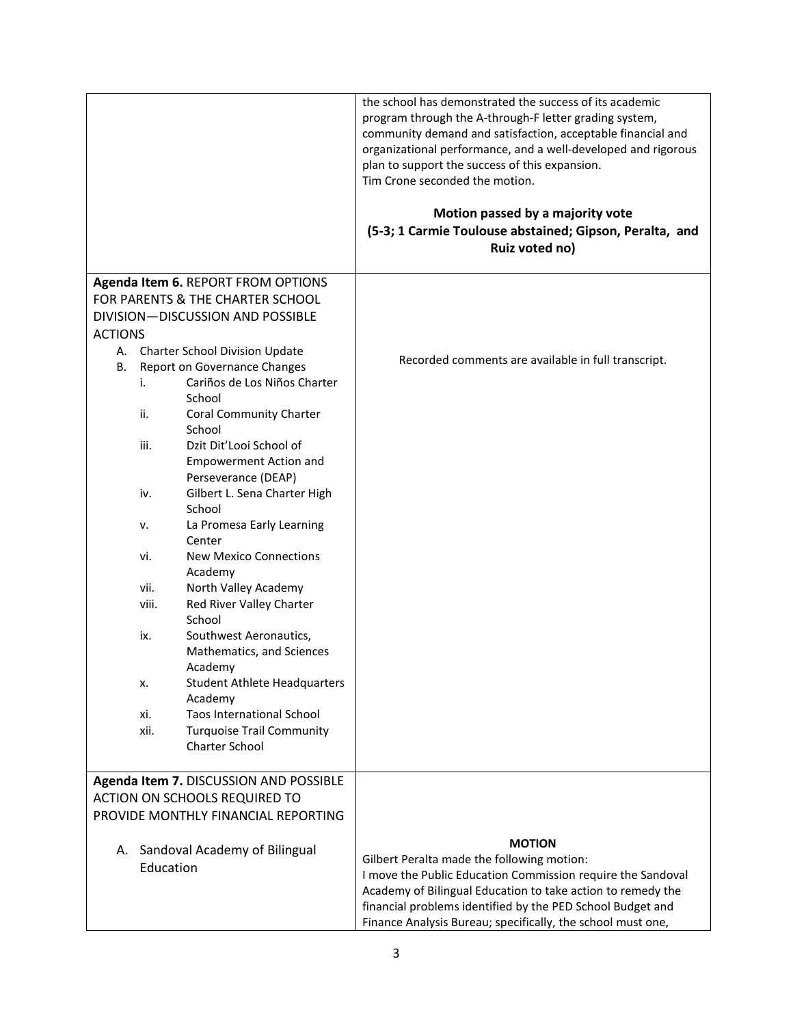|                |           |                                                     | the school has demonstrated the success of its academic<br>program through the A-through-F letter grading system,<br>community demand and satisfaction, acceptable financial and<br>organizational performance, and a well-developed and rigorous<br>plan to support the success of this expansion.<br>Tim Crone seconded the motion. |
|----------------|-----------|-----------------------------------------------------|---------------------------------------------------------------------------------------------------------------------------------------------------------------------------------------------------------------------------------------------------------------------------------------------------------------------------------------|
|                |           |                                                     | Motion passed by a majority vote<br>(5-3; 1 Carmie Toulouse abstained; Gipson, Peralta, and                                                                                                                                                                                                                                           |
|                |           |                                                     | Ruiz voted no)                                                                                                                                                                                                                                                                                                                        |
|                |           | Agenda Item 6. REPORT FROM OPTIONS                  |                                                                                                                                                                                                                                                                                                                                       |
|                |           | FOR PARENTS & THE CHARTER SCHOOL                    |                                                                                                                                                                                                                                                                                                                                       |
|                |           | DIVISION-DISCUSSION AND POSSIBLE                    |                                                                                                                                                                                                                                                                                                                                       |
| <b>ACTIONS</b> |           |                                                     |                                                                                                                                                                                                                                                                                                                                       |
|                |           | A. Charter School Division Update                   |                                                                                                                                                                                                                                                                                                                                       |
| В.             |           | Report on Governance Changes                        | Recorded comments are available in full transcript.                                                                                                                                                                                                                                                                                   |
|                | i.        | Cariños de Los Niños Charter                        |                                                                                                                                                                                                                                                                                                                                       |
|                |           | School                                              |                                                                                                                                                                                                                                                                                                                                       |
|                | ii.       | <b>Coral Community Charter</b>                      |                                                                                                                                                                                                                                                                                                                                       |
|                |           | School                                              |                                                                                                                                                                                                                                                                                                                                       |
|                | iii.      | Dzit Dit'Looi School of                             |                                                                                                                                                                                                                                                                                                                                       |
|                |           | <b>Empowerment Action and</b>                       |                                                                                                                                                                                                                                                                                                                                       |
|                | iv.       | Perseverance (DEAP)<br>Gilbert L. Sena Charter High |                                                                                                                                                                                                                                                                                                                                       |
|                |           | School                                              |                                                                                                                                                                                                                                                                                                                                       |
|                | ν.        | La Promesa Early Learning                           |                                                                                                                                                                                                                                                                                                                                       |
|                |           | Center                                              |                                                                                                                                                                                                                                                                                                                                       |
|                | vi.       | <b>New Mexico Connections</b>                       |                                                                                                                                                                                                                                                                                                                                       |
|                |           | Academy                                             |                                                                                                                                                                                                                                                                                                                                       |
|                | vii.      | North Valley Academy                                |                                                                                                                                                                                                                                                                                                                                       |
|                | viii.     | Red River Valley Charter                            |                                                                                                                                                                                                                                                                                                                                       |
|                |           | School                                              |                                                                                                                                                                                                                                                                                                                                       |
|                | ix.       | Southwest Aeronautics,                              |                                                                                                                                                                                                                                                                                                                                       |
|                |           | Mathematics, and Sciences                           |                                                                                                                                                                                                                                                                                                                                       |
|                | х.        | Academy<br><b>Student Athlete Headquarters</b>      |                                                                                                                                                                                                                                                                                                                                       |
|                |           | Academy                                             |                                                                                                                                                                                                                                                                                                                                       |
|                | xi.       | <b>Taos International School</b>                    |                                                                                                                                                                                                                                                                                                                                       |
|                | xii.      | <b>Turquoise Trail Community</b>                    |                                                                                                                                                                                                                                                                                                                                       |
|                |           | Charter School                                      |                                                                                                                                                                                                                                                                                                                                       |
|                |           | Agenda Item 7. DISCUSSION AND POSSIBLE              |                                                                                                                                                                                                                                                                                                                                       |
|                |           | <b>ACTION ON SCHOOLS REQUIRED TO</b>                |                                                                                                                                                                                                                                                                                                                                       |
|                |           | PROVIDE MONTHLY FINANCIAL REPORTING                 |                                                                                                                                                                                                                                                                                                                                       |
|                |           |                                                     |                                                                                                                                                                                                                                                                                                                                       |
|                |           | A. Sandoval Academy of Bilingual                    | <b>MOTION</b>                                                                                                                                                                                                                                                                                                                         |
|                | Education |                                                     | Gilbert Peralta made the following motion:                                                                                                                                                                                                                                                                                            |
|                |           |                                                     | I move the Public Education Commission require the Sandoval                                                                                                                                                                                                                                                                           |
|                |           |                                                     | Academy of Bilingual Education to take action to remedy the                                                                                                                                                                                                                                                                           |
|                |           |                                                     | financial problems identified by the PED School Budget and                                                                                                                                                                                                                                                                            |
|                |           |                                                     | Finance Analysis Bureau; specifically, the school must one,                                                                                                                                                                                                                                                                           |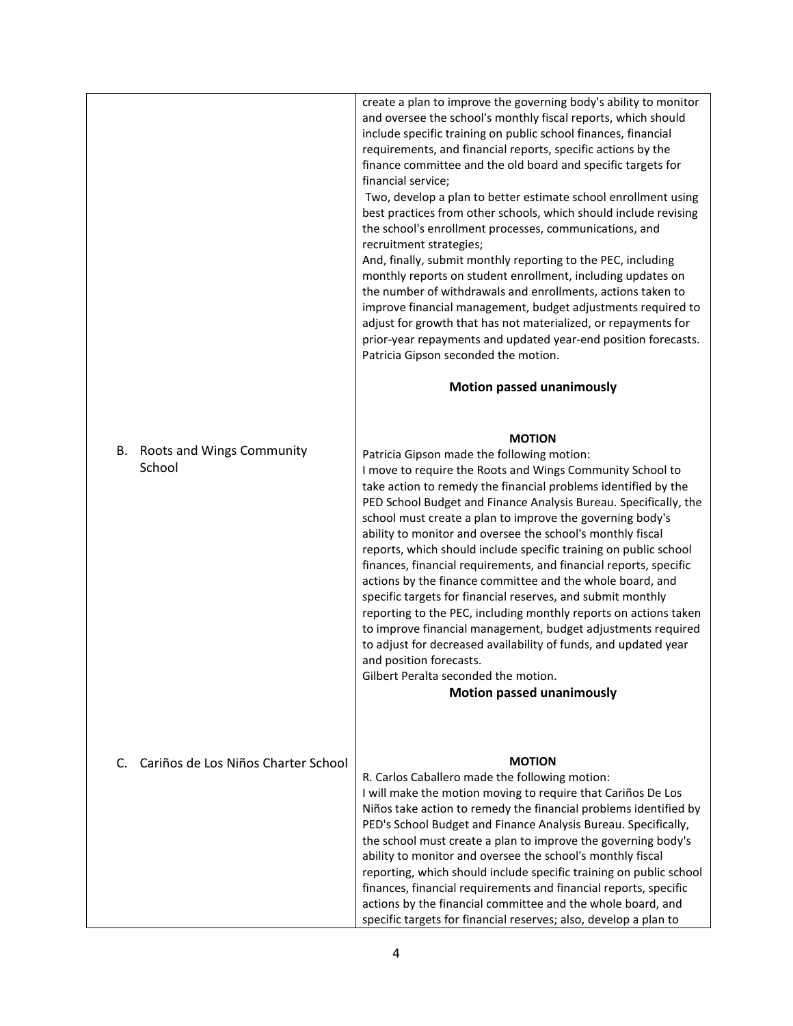|                                           | create a plan to improve the governing body's ability to monitor<br>and oversee the school's monthly fiscal reports, which should<br>include specific training on public school finances, financial<br>requirements, and financial reports, specific actions by the<br>finance committee and the old board and specific targets for<br>financial service;<br>Two, develop a plan to better estimate school enrollment using<br>best practices from other schools, which should include revising<br>the school's enrollment processes, communications, and<br>recruitment strategies;<br>And, finally, submit monthly reporting to the PEC, including<br>monthly reports on student enrollment, including updates on<br>the number of withdrawals and enrollments, actions taken to<br>improve financial management, budget adjustments required to<br>adjust for growth that has not materialized, or repayments for<br>prior-year repayments and updated year-end position forecasts.<br>Patricia Gipson seconded the motion.<br><b>Motion passed unanimously</b> |
|-------------------------------------------|--------------------------------------------------------------------------------------------------------------------------------------------------------------------------------------------------------------------------------------------------------------------------------------------------------------------------------------------------------------------------------------------------------------------------------------------------------------------------------------------------------------------------------------------------------------------------------------------------------------------------------------------------------------------------------------------------------------------------------------------------------------------------------------------------------------------------------------------------------------------------------------------------------------------------------------------------------------------------------------------------------------------------------------------------------------------|
| Roots and Wings Community<br>В.<br>School | <b>MOTION</b><br>Patricia Gipson made the following motion:<br>I move to require the Roots and Wings Community School to<br>take action to remedy the financial problems identified by the<br>PED School Budget and Finance Analysis Bureau. Specifically, the<br>school must create a plan to improve the governing body's<br>ability to monitor and oversee the school's monthly fiscal<br>reports, which should include specific training on public school<br>finances, financial requirements, and financial reports, specific<br>actions by the finance committee and the whole board, and<br>specific targets for financial reserves, and submit monthly<br>reporting to the PEC, including monthly reports on actions taken<br>to improve financial management, budget adjustments required<br>to adjust for decreased availability of funds, and updated year<br>and position forecasts.<br>Gilbert Peralta seconded the motion.<br><b>Motion passed unanimously</b>                                                                                       |
| Cariños de Los Niños Charter School<br>C. | <b>MOTION</b><br>R. Carlos Caballero made the following motion:<br>I will make the motion moving to require that Cariños De Los<br>Niños take action to remedy the financial problems identified by<br>PED's School Budget and Finance Analysis Bureau. Specifically,<br>the school must create a plan to improve the governing body's<br>ability to monitor and oversee the school's monthly fiscal<br>reporting, which should include specific training on public school<br>finances, financial requirements and financial reports, specific<br>actions by the financial committee and the whole board, and<br>specific targets for financial reserves; also, develop a plan to                                                                                                                                                                                                                                                                                                                                                                                  |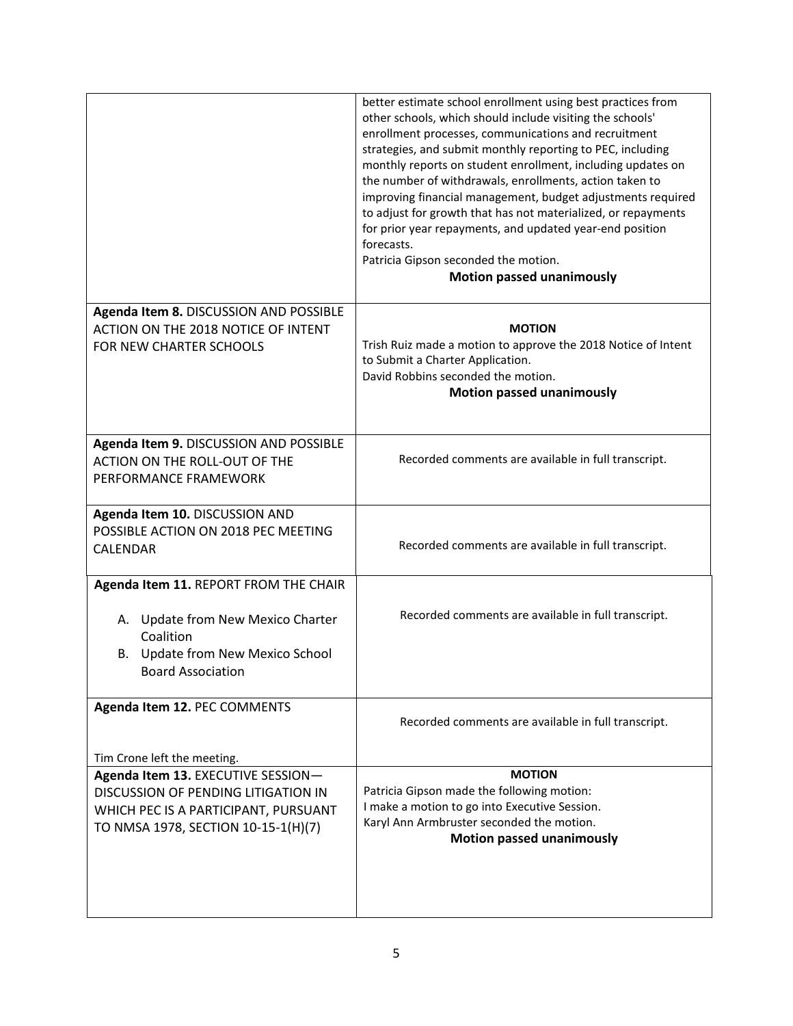|                                                                                                                                                          | better estimate school enrollment using best practices from<br>other schools, which should include visiting the schools'<br>enrollment processes, communications and recruitment<br>strategies, and submit monthly reporting to PEC, including<br>monthly reports on student enrollment, including updates on<br>the number of withdrawals, enrollments, action taken to<br>improving financial management, budget adjustments required<br>to adjust for growth that has not materialized, or repayments<br>for prior year repayments, and updated year-end position<br>forecasts.<br>Patricia Gipson seconded the motion.<br><b>Motion passed unanimously</b> |
|----------------------------------------------------------------------------------------------------------------------------------------------------------|----------------------------------------------------------------------------------------------------------------------------------------------------------------------------------------------------------------------------------------------------------------------------------------------------------------------------------------------------------------------------------------------------------------------------------------------------------------------------------------------------------------------------------------------------------------------------------------------------------------------------------------------------------------|
| Agenda Item 8. DISCUSSION AND POSSIBLE                                                                                                                   |                                                                                                                                                                                                                                                                                                                                                                                                                                                                                                                                                                                                                                                                |
| ACTION ON THE 2018 NOTICE OF INTENT<br>FOR NEW CHARTER SCHOOLS                                                                                           | <b>MOTION</b><br>Trish Ruiz made a motion to approve the 2018 Notice of Intent<br>to Submit a Charter Application.<br>David Robbins seconded the motion.<br><b>Motion passed unanimously</b>                                                                                                                                                                                                                                                                                                                                                                                                                                                                   |
| Agenda Item 9. DISCUSSION AND POSSIBLE<br>ACTION ON THE ROLL-OUT OF THE<br>PERFORMANCE FRAMEWORK                                                         | Recorded comments are available in full transcript.                                                                                                                                                                                                                                                                                                                                                                                                                                                                                                                                                                                                            |
| Agenda Item 10. DISCUSSION AND<br>POSSIBLE ACTION ON 2018 PEC MEETING<br><b>CALENDAR</b>                                                                 | Recorded comments are available in full transcript.                                                                                                                                                                                                                                                                                                                                                                                                                                                                                                                                                                                                            |
| Agenda Item 11. REPORT FROM THE CHAIR                                                                                                                    |                                                                                                                                                                                                                                                                                                                                                                                                                                                                                                                                                                                                                                                                |
| A. Update from New Mexico Charter<br>Coalition<br>B. Update from New Mexico School<br><b>Board Association</b>                                           | Recorded comments are available in full transcript.                                                                                                                                                                                                                                                                                                                                                                                                                                                                                                                                                                                                            |
| Agenda Item 12. PEC COMMENTS                                                                                                                             | Recorded comments are available in full transcript.                                                                                                                                                                                                                                                                                                                                                                                                                                                                                                                                                                                                            |
| Tim Crone left the meeting.                                                                                                                              |                                                                                                                                                                                                                                                                                                                                                                                                                                                                                                                                                                                                                                                                |
| Agenda Item 13. EXECUTIVE SESSION-<br>DISCUSSION OF PENDING LITIGATION IN<br>WHICH PEC IS A PARTICIPANT, PURSUANT<br>TO NMSA 1978, SECTION 10-15-1(H)(7) | <b>MOTION</b><br>Patricia Gipson made the following motion:<br>I make a motion to go into Executive Session.<br>Karyl Ann Armbruster seconded the motion.<br><b>Motion passed unanimously</b>                                                                                                                                                                                                                                                                                                                                                                                                                                                                  |